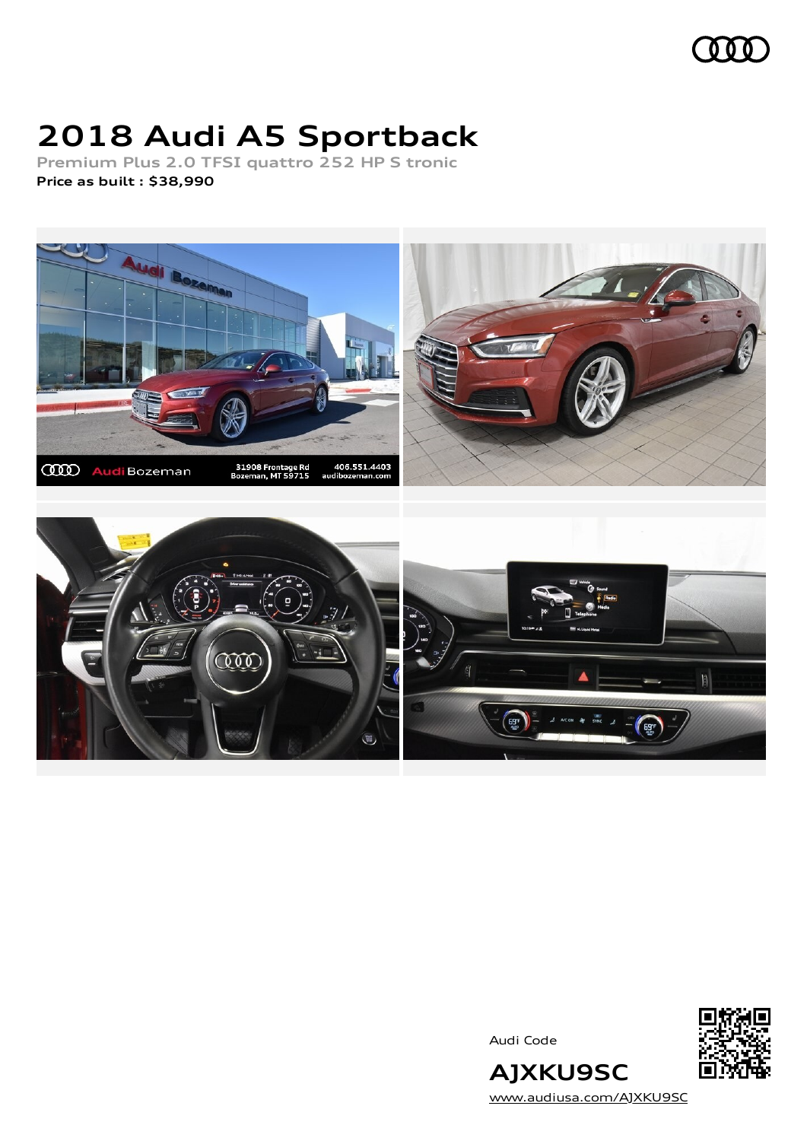### 000

# **2018 Audi A5 Sportback**

**Premium Plus 2.0 TFSI quattro 252 HP S tronic Price as built [:](#page-8-0) \$38,990**



Audi Code



**AJXKU9SC** [www.audiusa.com/AJXKU9SC](https://www.audiusa.com/AJXKU9SC)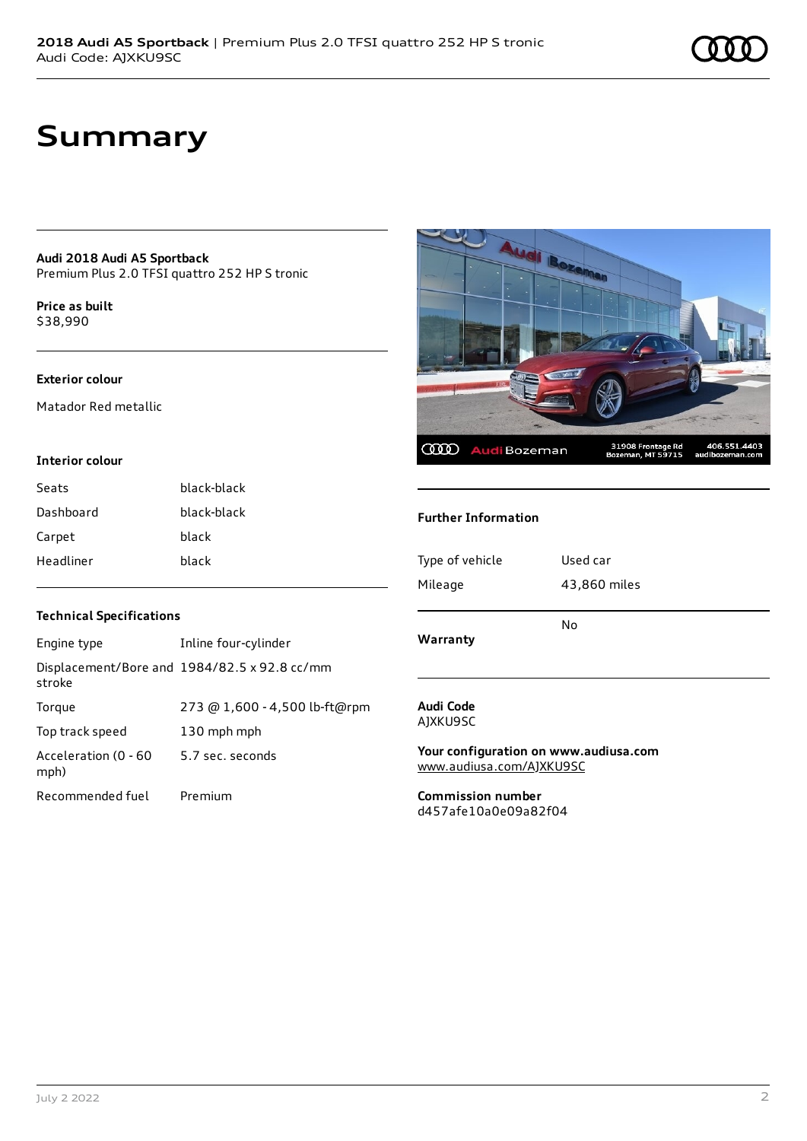# **Summary**

**Audi 2018 Audi A5 Sportback** Premium Plus 2.0 TFSI quattro 252 HP S tronic

**Price as buil[t](#page-8-0)** \$38,990

#### **Exterior colour**

Matador Red metallic

#### **Interior colour**

| Seats     | black-black |
|-----------|-------------|
| Dashboard | black-black |
| Carpet    | black       |
| Headliner | hlack       |

# **Audi Bo** 406.551.4403<br>audibozeman.com 31908 Frontage Rd<br>Bozeman, MT 59715 **CCCO** AudiBozeman

#### **Further Information**

| Type of vehicle | Used car     |
|-----------------|--------------|
| Mileage         | 43,860 miles |
| Warranty        | No           |
|                 |              |

#### **Audi Code** AJXKU9SC

**Your configuration on www.audiusa.com** [www.audiusa.com/AJXKU9SC](https://www.audiusa.com/AJXKU9SC)

**Commission number** d457afe10a0e09a82f04

#### **Technical Specifications**

| Engine type                  | Inline four-cylinder                         |
|------------------------------|----------------------------------------------|
| stroke                       | Displacement/Bore and 1984/82.5 x 92.8 cc/mm |
| Torque                       | 273 @ 1,600 - 4,500 lb-ft@rpm                |
| Top track speed              | 130 mph mph                                  |
| Acceleration (0 - 60<br>mph) | 5.7 sec. seconds                             |
| Recommended fuel             | Premium                                      |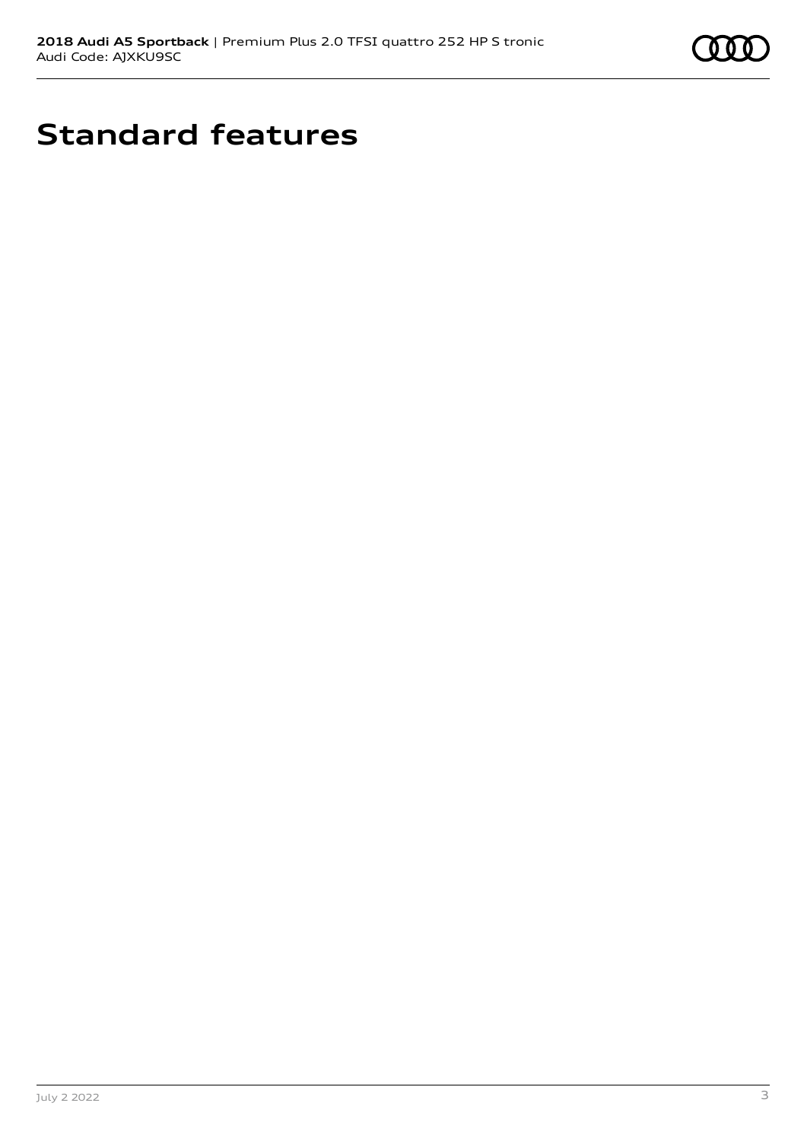

# **Standard features**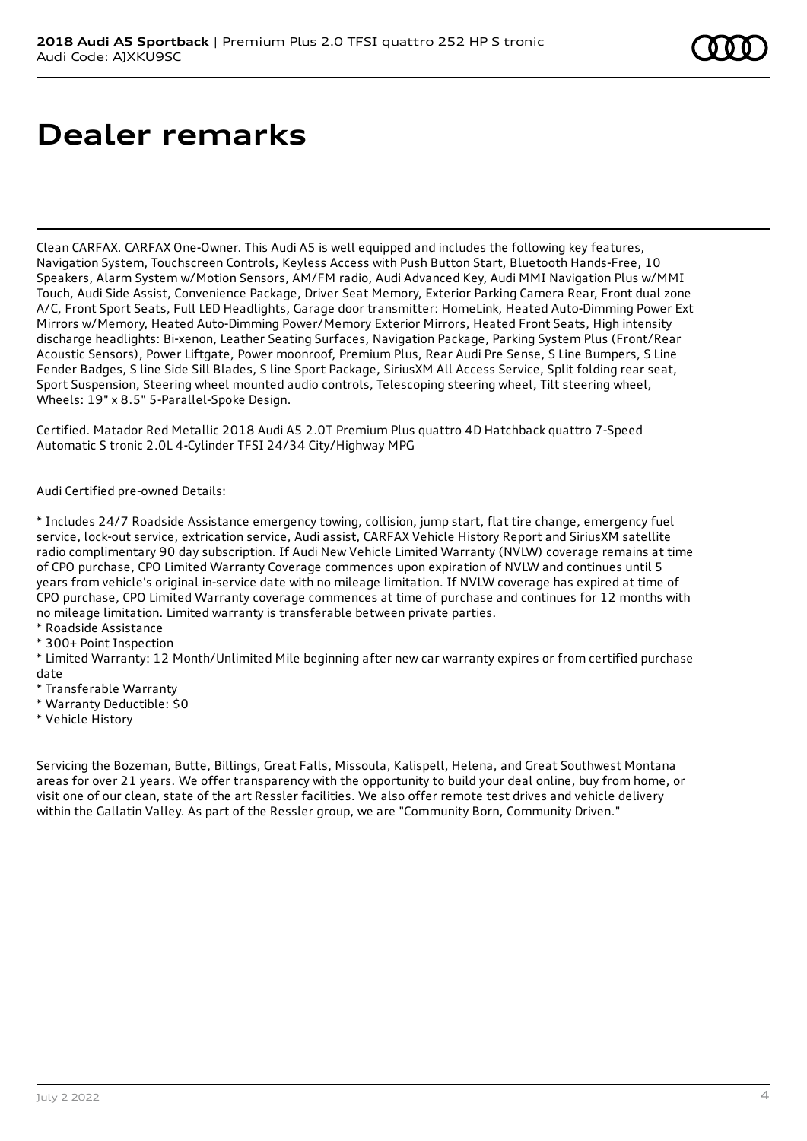# **Dealer remarks**

Clean CARFAX. CARFAX One-Owner. This Audi A5 is well equipped and includes the following key features, Navigation System, Touchscreen Controls, Keyless Access with Push Button Start, Bluetooth Hands-Free, 10 Speakers, Alarm System w/Motion Sensors, AM/FM radio, Audi Advanced Key, Audi MMI Navigation Plus w/MMI Touch, Audi Side Assist, Convenience Package, Driver Seat Memory, Exterior Parking Camera Rear, Front dual zone A/C, Front Sport Seats, Full LED Headlights, Garage door transmitter: HomeLink, Heated Auto-Dimming Power Ext Mirrors w/Memory, Heated Auto-Dimming Power/Memory Exterior Mirrors, Heated Front Seats, High intensity discharge headlights: Bi-xenon, Leather Seating Surfaces, Navigation Package, Parking System Plus (Front/Rear Acoustic Sensors), Power Liftgate, Power moonroof, Premium Plus, Rear Audi Pre Sense, S Line Bumpers, S Line Fender Badges, S line Side Sill Blades, S line Sport Package, SiriusXM All Access Service, Split folding rear seat, Sport Suspension, Steering wheel mounted audio controls, Telescoping steering wheel, Tilt steering wheel, Wheels: 19" x 8.5" 5-Parallel-Spoke Design.

Certified. Matador Red Metallic 2018 Audi A5 2.0T Premium Plus quattro 4D Hatchback quattro 7-Speed Automatic S tronic 2.0L 4-Cylinder TFSI 24/34 City/Highway MPG

Audi Certified pre-owned Details:

\* Includes 24/7 Roadside Assistance emergency towing, collision, jump start, flat tire change, emergency fuel service, lock-out service, extrication service, Audi assist, CARFAX Vehicle History Report and SiriusXM satellite radio complimentary 90 day subscription. If Audi New Vehicle Limited Warranty (NVLW) coverage remains at time of CPO purchase, CPO Limited Warranty Coverage commences upon expiration of NVLW and continues until 5 years from vehicle's original in-service date with no mileage limitation. If NVLW coverage has expired at time of CPO purchase, CPO Limited Warranty coverage commences at time of purchase and continues for 12 months with no mileage limitation. Limited warranty is transferable between private parties.

\* Roadside Assistance

\* 300+ Point Inspection

\* Limited Warranty: 12 Month/Unlimited Mile beginning after new car warranty expires or from certified purchase date

- \* Transferable Warranty
- \* Warranty Deductible: \$0
- \* Vehicle History

Servicing the Bozeman, Butte, Billings, Great Falls, Missoula, Kalispell, Helena, and Great Southwest Montana areas for over 21 years. We offer transparency with the opportunity to build your deal online, buy from home, or visit one of our clean, state of the art Ressler facilities. We also offer remote test drives and vehicle delivery within the Gallatin Valley. As part of the Ressler group, we are "Community Born, Community Driven."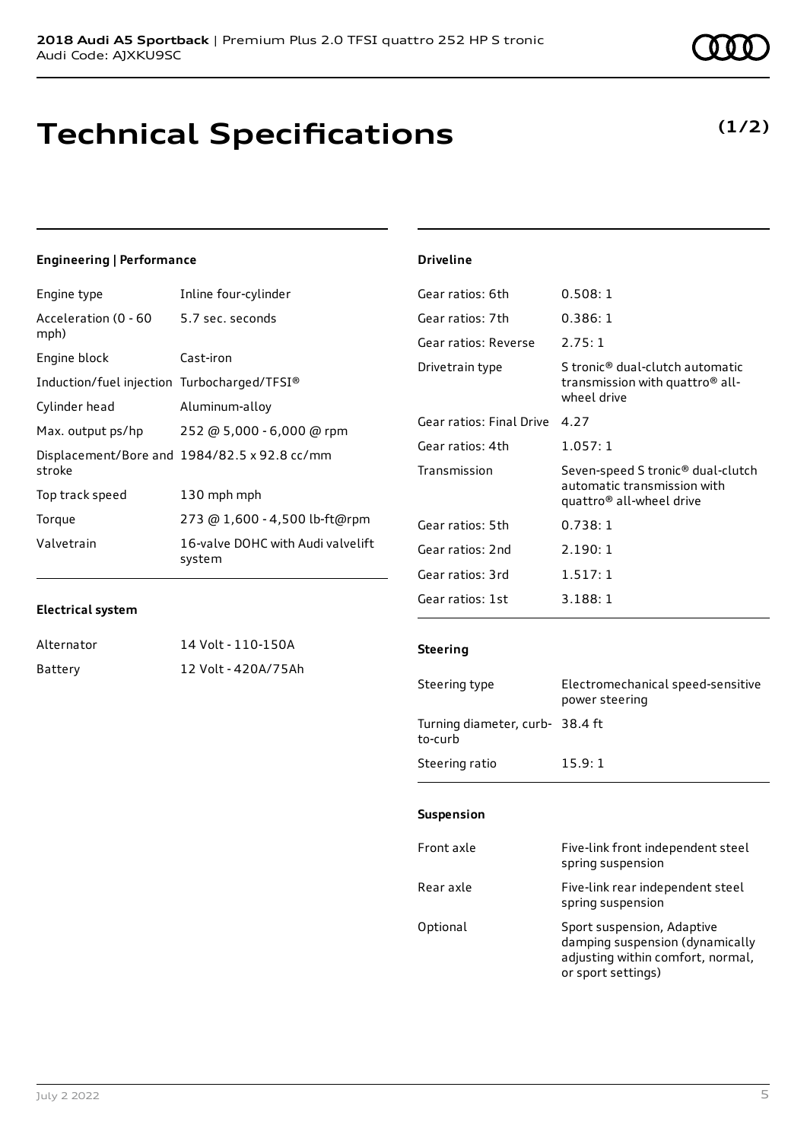# **Technical Specifications**

#### **(1/2)**

#### **Engineering | Performance**

| Engine type                                 | Inline four-cylinder                         |
|---------------------------------------------|----------------------------------------------|
| Acceleration (0 - 60<br>mph)                | 5.7 sec. seconds                             |
| Engine block                                | Cast-iron                                    |
| Induction/fuel injection Turbocharged/TFSI® |                                              |
| Cylinder head                               | Aluminum-alloy                               |
| Max. output ps/hp                           | 252 @ 5,000 - 6,000 @ rpm                    |
| stroke                                      | Displacement/Bore and 1984/82.5 x 92.8 cc/mm |
| Top track speed                             | 130 mph mph                                  |
| Torque                                      | 273 @ 1,600 - 4,500 lb-ft@rpm                |
| Valvetrain                                  | 16-valve DOHC with Audi valvelift<br>system  |
|                                             |                                              |

| Gear ratios: 6th         | 0.508:1                                                                                                              |
|--------------------------|----------------------------------------------------------------------------------------------------------------------|
| Gear ratios: 7th         | 0.386:1                                                                                                              |
| Gear ratios: Reverse     | 2.75:1                                                                                                               |
| Drivetrain type          | S tronic® dual-clutch automatic<br>transmission with quattro <sup>®</sup> all-<br>wheel drive                        |
| Gear ratios: Final Drive | 4 27                                                                                                                 |
| Gear ratios: 4th         | 1.057:1                                                                                                              |
| Transmission             | Seven-speed S tronic <sup>®</sup> dual-clutch<br>automatic transmission with<br>quattro <sup>®</sup> all-wheel drive |
| Gear ratios: 5th         | 0.738:1                                                                                                              |
| Gear ratios: 2nd         | 2.190:1                                                                                                              |
| Gear ratios: 3rd         | 1.517:1                                                                                                              |
| Gear ratios: 1st         | 3.188:1                                                                                                              |

#### **Electrical system**

| Alternator | 14 Volt - 110-150A  |
|------------|---------------------|
| Battery    | 12 Volt - 420A/75Ah |

#### **Steering**

**Driveline**

| Steering type                             | Electromechanical speed-sensitive<br>power steering |
|-------------------------------------------|-----------------------------------------------------|
| Turning diameter, curb-38.4 ft<br>to-curb |                                                     |
| Steering ratio                            | 15.9:1                                              |

#### **Suspension**

| Front axle | Five-link front independent steel<br>spring suspension                                                                   |
|------------|--------------------------------------------------------------------------------------------------------------------------|
| Rear axle  | Five-link rear independent steel<br>spring suspension                                                                    |
| Optional   | Sport suspension, Adaptive<br>damping suspension (dynamically<br>adjusting within comfort, normal,<br>or sport settings) |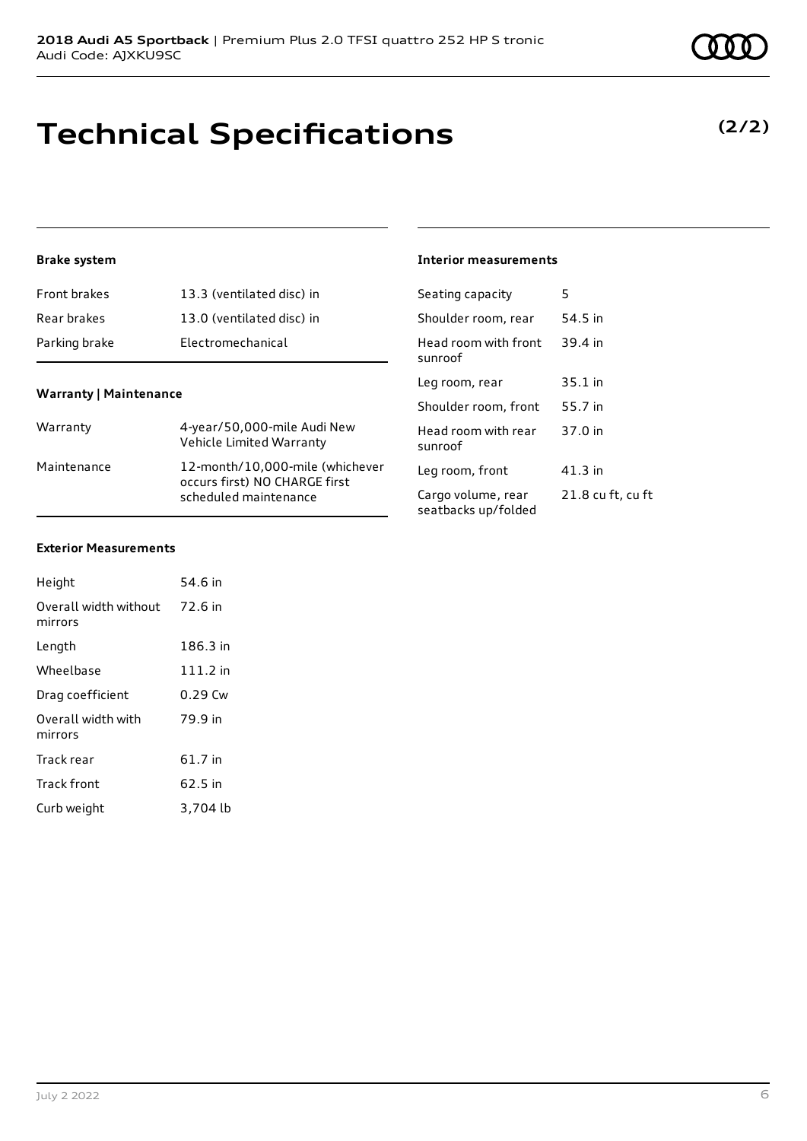# **Technical Specifications**

#### **Brake system**

| <b>Front brakes</b> | 13.3 (ventilated disc) in |
|---------------------|---------------------------|
| Rear brakes         | 13.0 (ventilated disc) in |
| Parking brake       | Electromechanical         |

#### **Warranty | Maintenance**

| Warranty    | 4-year/50,000-mile Audi New<br>Vehicle Limited Warranty                                   |
|-------------|-------------------------------------------------------------------------------------------|
| Maintenance | 12-month/10,000-mile (whichever<br>occurs first) NO CHARGE first<br>scheduled maintenance |

#### **Interior measurements**

| Seating capacity                          | 5                 |
|-------------------------------------------|-------------------|
| Shoulder room, rear                       | 54.5 in           |
| Head room with front<br>sunroof           | 39.4 in           |
| Leg room, rear                            | $35.1$ in         |
| Shoulder room, front                      | 55.7 in           |
| Head room with rear<br>sunroof            | 37.0 in           |
| Leg room, front                           | 41.3 in           |
| Cargo volume, rear<br>seatbacks up/folded | 21.8 cu ft, cu ft |

#### **Exterior Measurements**

| Height                           | 54.6 in    |
|----------------------------------|------------|
| Overall width without<br>mirrors | 72.6 in    |
| Length                           | 186.3 in   |
| Wheelbase                        | $111.2$ in |
| Drag coefficient                 | 0.29 Cw    |
| Overall width with<br>mirrors    | 79.9 in    |
| Track rear                       | 61.7 in    |
| <b>Track front</b>               | 62.5 in    |
| Curb weight                      | 3,704 lb   |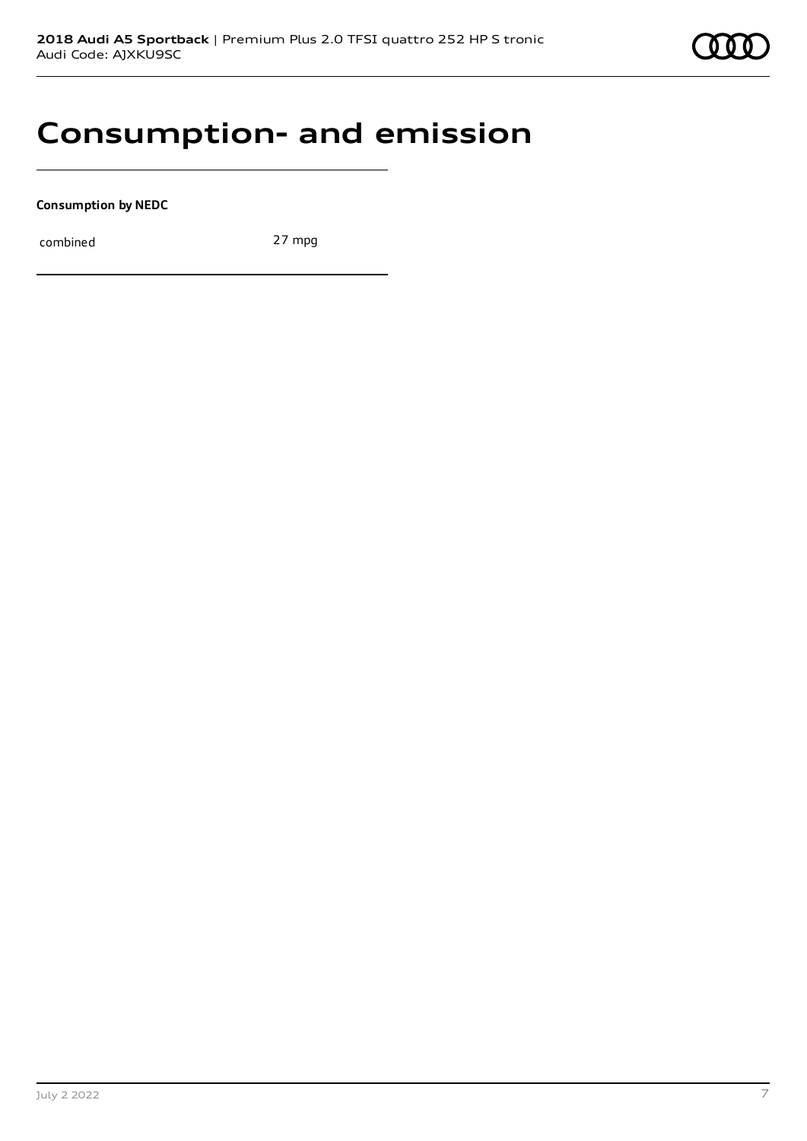

## **Consumption- and emission**

**Consumption by NEDC**

combined 27 mpg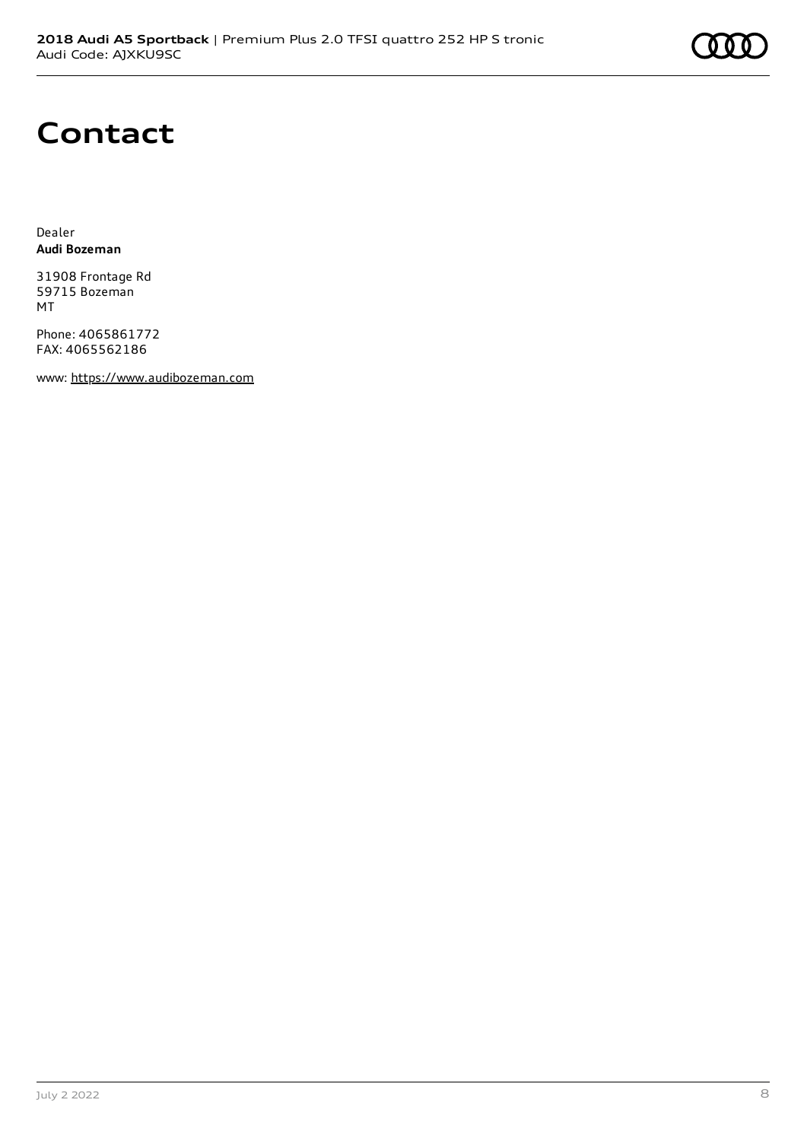

# **Contact**

Dealer **Audi Bozeman**

31908 Frontage Rd 59715 Bozeman MT

Phone: 4065861772 FAX: 4065562186

www: [https://www.audibozeman.com](https://www.audibozeman.com/)